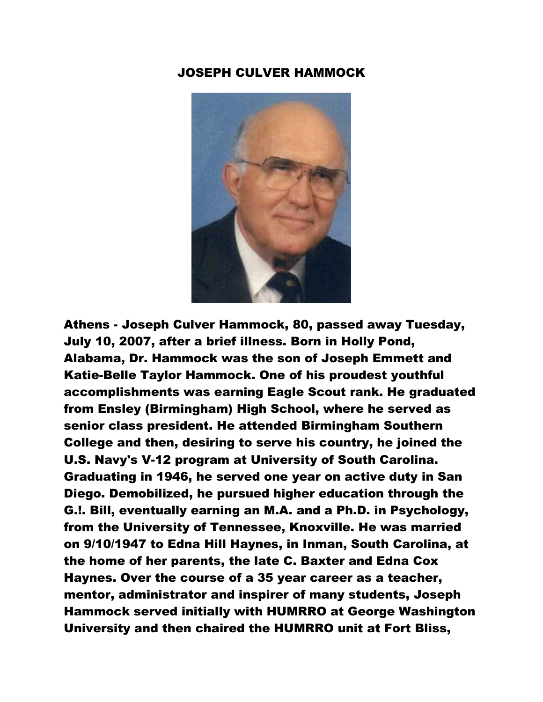## JOSEPH CULVER HAMMOCK



Athens - Joseph Culver Hammock, 80, passed away Tuesday, July 10, 2007, after a brief illness. Born in Holly Pond, Alabama, Dr. Hammock was the son of Joseph Emmett and Katie-Belle Taylor Hammock. One of his proudest youthful accomplishments was earning Eagle Scout rank. He graduated from Ensley (Birmingham) High School, where he served as senior class president. He attended Birmingham Southern College and then, desiring to serve his country, he joined the U.S. Navy's V-12 program at University of South Carolina. Graduating in 1946, he served one year on active duty in San Diego. Demobilized, he pursued higher education through the G.!. Bill, eventually earning an M.A. and a Ph.D. in Psychology, from the University of Tennessee, Knoxville. He was married on 9/10/1947 to Edna Hill Haynes, in Inman, South Carolina, at the home of her parents, the late C. Baxter and Edna Cox Haynes. Over the course of a 35 year career as a teacher, mentor, administrator and inspirer of many students, Joseph Hammock served initially with HUMRRO at George Washington University and then chaired the HUMRRO unit at Fort Bliss,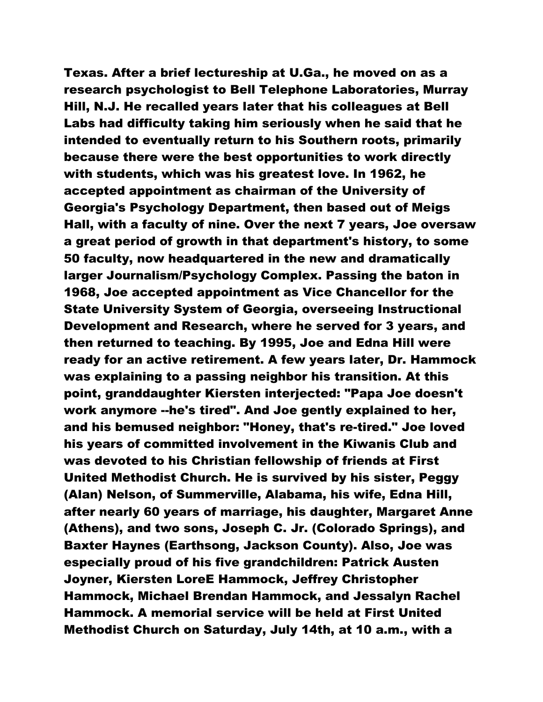Texas. After a brief lectureship at U.Ga., he moved on as a research psychologist to Bell Telephone Laboratories, Murray Hill, N.J. He recalled years later that his colleagues at Bell Labs had difficulty taking him seriously when he said that he intended to eventually return to his Southern roots, primarily because there were the best opportunities to work directly with students, which was his greatest love. In 1962, he accepted appointment as chairman of the University of Georgia's Psychology Department, then based out of Meigs Hall, with a faculty of nine. Over the next 7 years, Joe oversaw a great period of growth in that department's history, to some 50 faculty, now headquartered in the new and dramatically larger Journalism/Psychology Complex. Passing the baton in 1968, Joe accepted appointment as Vice Chancellor for the State University System of Georgia, overseeing Instructional Development and Research, where he served for 3 years, and then returned to teaching. By 1995, Joe and Edna Hill were ready for an active retirement. A few years later, Dr. Hammock was explaining to a passing neighbor his transition. At this point, granddaughter Kiersten interjected: "Papa Joe doesn't work anymore --he's tired". And Joe gently explained to her, and his bemused neighbor: "Honey, that's re-tired." Joe loved his years of committed involvement in the Kiwanis Club and was devoted to his Christian fellowship of friends at First United Methodist Church. He is survived by his sister, Peggy (Alan) Nelson, of Summerville, Alabama, his wife, Edna Hill, after nearly 60 years of marriage, his daughter, Margaret Anne (Athens), and two sons, Joseph C. Jr. (Colorado Springs), and Baxter Haynes (Earthsong, Jackson County). Also, Joe was especially proud of his five grandchildren: Patrick Austen Joyner, Kiersten LoreE Hammock, Jeffrey Christopher Hammock, Michael Brendan Hammock, and Jessalyn Rachel Hammock. A memorial service will be held at First United Methodist Church on Saturday, July 14th, at 10 a.m., with a